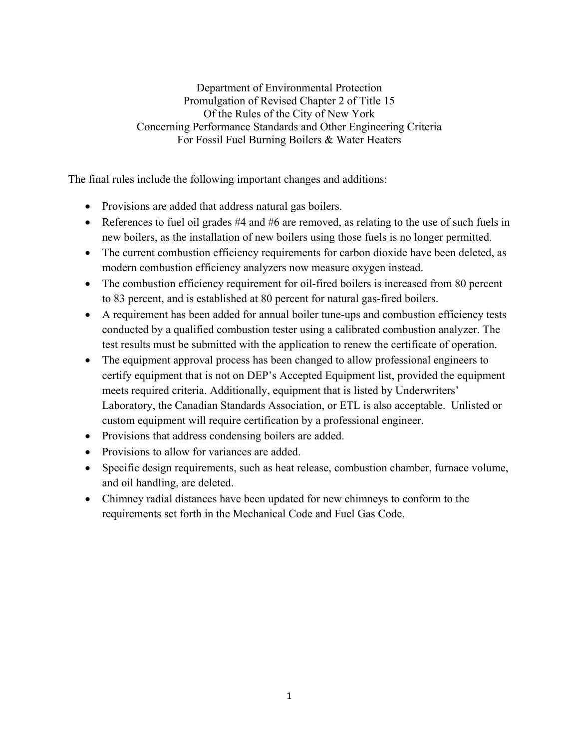Department of Environmental Protection Promulgation of Revised Chapter 2 of Title 15 Of the Rules of the City of New York Concerning Performance Standards and Other Engineering Criteria For Fossil Fuel Burning Boilers & Water Heaters

The final rules include the following important changes and additions:

- Provisions are added that address natural gas boilers.
- References to fuel oil grades  $#4$  and  $#6$  are removed, as relating to the use of such fuels in new boilers, as the installation of new boilers using those fuels is no longer permitted.
- The current combustion efficiency requirements for carbon dioxide have been deleted, as modern combustion efficiency analyzers now measure oxygen instead.
- The combustion efficiency requirement for oil-fired boilers is increased from 80 percent to 83 percent, and is established at 80 percent for natural gas-fired boilers.
- A requirement has been added for annual boiler tune-ups and combustion efficiency tests conducted by a qualified combustion tester using a calibrated combustion analyzer. The test results must be submitted with the application to renew the certificate of operation.
- The equipment approval process has been changed to allow professional engineers to certify equipment that is not on DEP's Accepted Equipment list, provided the equipment meets required criteria. Additionally, equipment that is listed by Underwriters' Laboratory, the Canadian Standards Association, or ETL is also acceptable. Unlisted or custom equipment will require certification by a professional engineer.
- Provisions that address condensing boilers are added.
- Provisions to allow for variances are added.
- Specific design requirements, such as heat release, combustion chamber, furnace volume, and oil handling, are deleted.
- Chimney radial distances have been updated for new chimneys to conform to the requirements set forth in the Mechanical Code and Fuel Gas Code.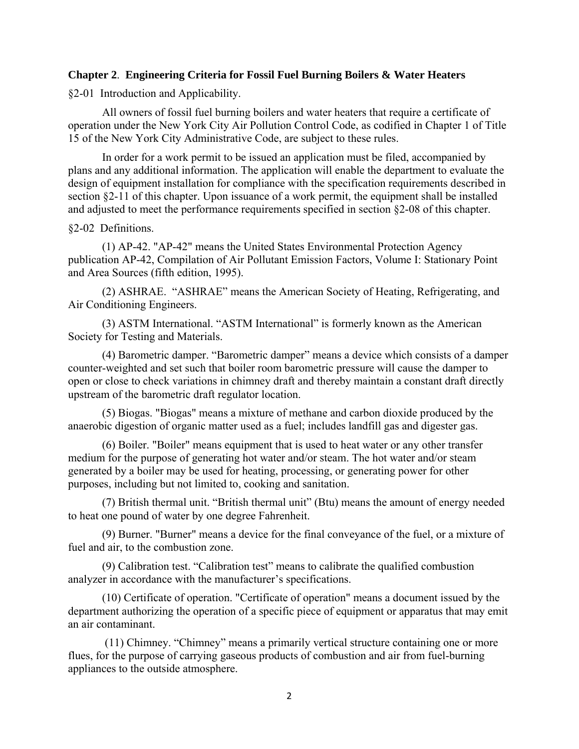### **Chapter 2**. **Engineering Criteria for Fossil Fuel Burning Boilers & Water Heaters**

§2-01 Introduction and Applicability.

 All owners of fossil fuel burning boilers and water heaters that require a certificate of operation under the New York City Air Pollution Control Code, as codified in Chapter 1 of Title 15 of the New York City Administrative Code, are subject to these rules.

 In order for a work permit to be issued an application must be filed, accompanied by plans and any additional information. The application will enable the department to evaluate the design of equipment installation for compliance with the specification requirements described in section §2-11 of this chapter. Upon issuance of a work permit, the equipment shall be installed and adjusted to meet the performance requirements specified in section §2-08 of this chapter.

#### §2-02 Definitions.

 (1) AP-42. "AP-42" means the United States Environmental Protection Agency publication AP-42, Compilation of Air Pollutant Emission Factors, Volume I: Stationary Point and Area Sources (fifth edition, 1995).

 (2) ASHRAE. "ASHRAE" means the American Society of Heating, Refrigerating, and Air Conditioning Engineers.

 (3) ASTM International. "ASTM International" is formerly known as the American Society for Testing and Materials.

 (4) Barometric damper. "Barometric damper" means a device which consists of a damper counter-weighted and set such that boiler room barometric pressure will cause the damper to open or close to check variations in chimney draft and thereby maintain a constant draft directly upstream of the barometric draft regulator location.

 (5) Biogas. "Biogas" means a mixture of methane and carbon dioxide produced by the anaerobic digestion of organic matter used as a fuel; includes landfill gas and digester gas.

 (6) Boiler. "Boiler" means equipment that is used to heat water or any other transfer medium for the purpose of generating hot water and/or steam. The hot water and/or steam generated by a boiler may be used for heating, processing, or generating power for other purposes, including but not limited to, cooking and sanitation.

 (7) British thermal unit. "British thermal unit" (Btu) means the amount of energy needed to heat one pound of water by one degree Fahrenheit.

 (9) Burner. "Burner" means a device for the final conveyance of the fuel, or a mixture of fuel and air, to the combustion zone.

 (9) Calibration test. "Calibration test" means to calibrate the qualified combustion analyzer in accordance with the manufacturer's specifications.

 (10) Certificate of operation. "Certificate of operation" means a document issued by the department authorizing the operation of a specific piece of equipment or apparatus that may emit an air contaminant.

 (11) Chimney. "Chimney" means a primarily vertical structure containing one or more flues, for the purpose of carrying gaseous products of combustion and air from fuel-burning appliances to the outside atmosphere.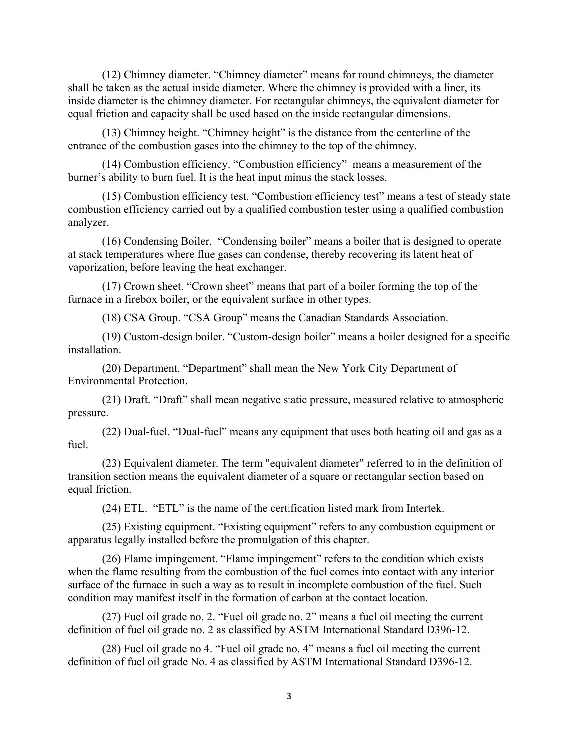(12) Chimney diameter. "Chimney diameter" means for round chimneys, the diameter shall be taken as the actual inside diameter. Where the chimney is provided with a liner, its inside diameter is the chimney diameter. For rectangular chimneys, the equivalent diameter for equal friction and capacity shall be used based on the inside rectangular dimensions.

 (13) Chimney height. "Chimney height" is the distance from the centerline of the entrance of the combustion gases into the chimney to the top of the chimney.

 (14) Combustion efficiency. "Combustion efficiency" means a measurement of the burner's ability to burn fuel. It is the heat input minus the stack losses.

 (15) Combustion efficiency test. "Combustion efficiency test" means a test of steady state combustion efficiency carried out by a qualified combustion tester using a qualified combustion analyzer.

 (16) Condensing Boiler. "Condensing boiler" means a boiler that is designed to operate at stack temperatures where flue gases can condense, thereby recovering its latent heat of vaporization, before leaving the heat exchanger.

 (17) Crown sheet. "Crown sheet" means that part of a boiler forming the top of the furnace in a firebox boiler, or the equivalent surface in other types.

(18) CSA Group. "CSA Group" means the Canadian Standards Association.

 (19) Custom-design boiler. "Custom-design boiler" means a boiler designed for a specific installation.

 (20) Department. "Department" shall mean the New York City Department of Environmental Protection.

 (21) Draft. "Draft" shall mean negative static pressure, measured relative to atmospheric pressure.

 (22) Dual-fuel. "Dual-fuel" means any equipment that uses both heating oil and gas as a fuel.

 (23) Equivalent diameter. The term "equivalent diameter" referred to in the definition of transition section means the equivalent diameter of a square or rectangular section based on equal friction.

(24) ETL. "ETL" is the name of the certification listed mark from Intertek.

 (25) Existing equipment. "Existing equipment" refers to any combustion equipment or apparatus legally installed before the promulgation of this chapter.

 (26) Flame impingement. "Flame impingement" refers to the condition which exists when the flame resulting from the combustion of the fuel comes into contact with any interior surface of the furnace in such a way as to result in incomplete combustion of the fuel. Such condition may manifest itself in the formation of carbon at the contact location.

 (27) Fuel oil grade no. 2. "Fuel oil grade no. 2" means a fuel oil meeting the current definition of fuel oil grade no. 2 as classified by ASTM International Standard D396-12.

(28) Fuel oil grade no 4. "Fuel oil grade no. 4" means a fuel oil meeting the current definition of fuel oil grade No. 4 as classified by ASTM International Standard D396-12.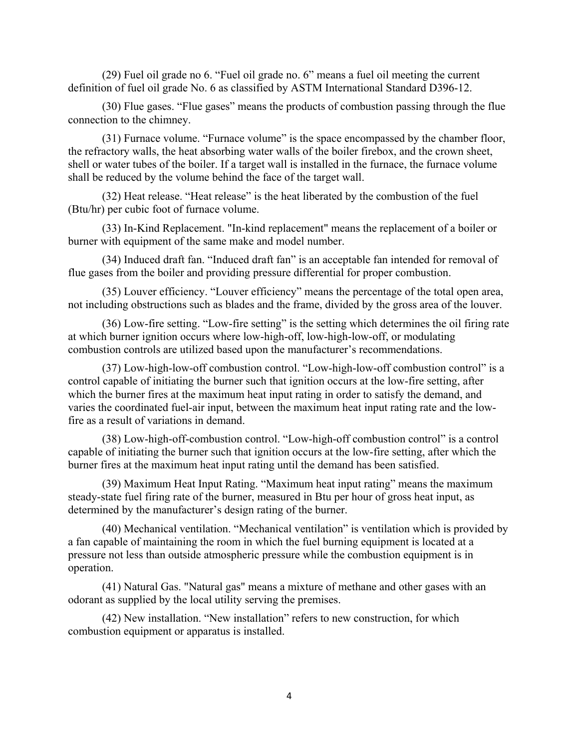(29) Fuel oil grade no 6. "Fuel oil grade no. 6" means a fuel oil meeting the current definition of fuel oil grade No. 6 as classified by ASTM International Standard D396-12.

 (30) Flue gases. "Flue gases" means the products of combustion passing through the flue connection to the chimney.

 (31) Furnace volume. "Furnace volume" is the space encompassed by the chamber floor, the refractory walls, the heat absorbing water walls of the boiler firebox, and the crown sheet, shell or water tubes of the boiler. If a target wall is installed in the furnace, the furnace volume shall be reduced by the volume behind the face of the target wall.

 (32) Heat release. "Heat release" is the heat liberated by the combustion of the fuel (Btu/hr) per cubic foot of furnace volume.

 (33) In-Kind Replacement. "In-kind replacement" means the replacement of a boiler or burner with equipment of the same make and model number.

 (34) Induced draft fan. "Induced draft fan" is an acceptable fan intended for removal of flue gases from the boiler and providing pressure differential for proper combustion.

 (35) Louver efficiency. "Louver efficiency" means the percentage of the total open area, not including obstructions such as blades and the frame, divided by the gross area of the louver.

 (36) Low-fire setting. "Low-fire setting" is the setting which determines the oil firing rate at which burner ignition occurs where low-high-off, low-high-low-off, or modulating combustion controls are utilized based upon the manufacturer's recommendations.

 (37) Low-high-low-off combustion control. "Low-high-low-off combustion control" is a control capable of initiating the burner such that ignition occurs at the low-fire setting, after which the burner fires at the maximum heat input rating in order to satisfy the demand, and varies the coordinated fuel-air input, between the maximum heat input rating rate and the lowfire as a result of variations in demand.

 (38) Low-high-off-combustion control. "Low-high-off combustion control" is a control capable of initiating the burner such that ignition occurs at the low-fire setting, after which the burner fires at the maximum heat input rating until the demand has been satisfied.

 (39) Maximum Heat Input Rating. "Maximum heat input rating" means the maximum steady-state fuel firing rate of the burner, measured in Btu per hour of gross heat input, as determined by the manufacturer's design rating of the burner.

 (40) Mechanical ventilation. "Mechanical ventilation" is ventilation which is provided by a fan capable of maintaining the room in which the fuel burning equipment is located at a pressure not less than outside atmospheric pressure while the combustion equipment is in operation.

 (41) Natural Gas. "Natural gas" means a mixture of methane and other gases with an odorant as supplied by the local utility serving the premises.

 (42) New installation. "New installation" refers to new construction, for which combustion equipment or apparatus is installed.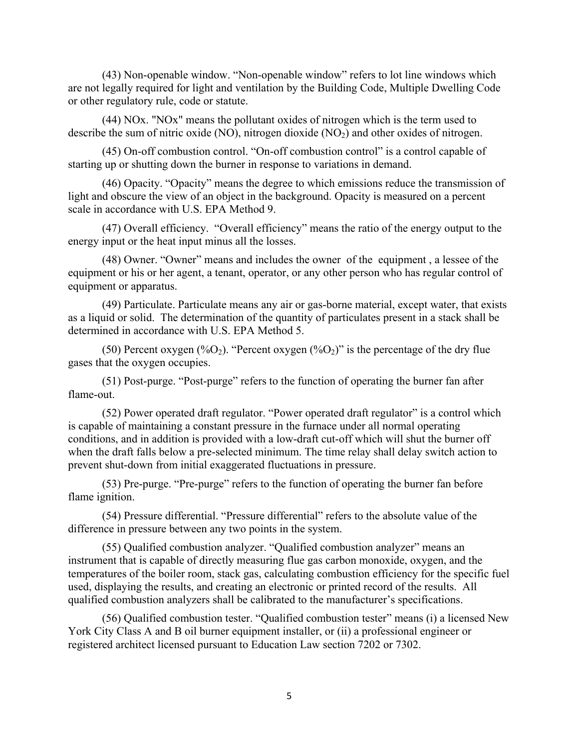(43) Non-openable window. "Non-openable window" refers to lot line windows which are not legally required for light and ventilation by the Building Code, Multiple Dwelling Code or other regulatory rule, code or statute.

 (44) NOx. "NOx" means the pollutant oxides of nitrogen which is the term used to describe the sum of nitric oxide  $(NO)$ , nitrogen dioxide  $(NO<sub>2</sub>)$  and other oxides of nitrogen.

 (45) On-off combustion control. "On-off combustion control" is a control capable of starting up or shutting down the burner in response to variations in demand.

 (46) Opacity. "Opacity" means the degree to which emissions reduce the transmission of light and obscure the view of an object in the background. Opacity is measured on a percent scale in accordance with U.S. EPA Method 9.

 (47) Overall efficiency. "Overall efficiency" means the ratio of the energy output to the energy input or the heat input minus all the losses.

 (48) Owner. "Owner" means and includes the owner of the equipment , a lessee of the equipment or his or her agent, a tenant, operator, or any other person who has regular control of equipment or apparatus.

 (49) Particulate. Particulate means any air or gas-borne material, except water, that exists as a liquid or solid. The determination of the quantity of particulates present in a stack shall be determined in accordance with U.S. EPA Method 5.

(50) Percent oxygen (%O<sub>2</sub>). "Percent oxygen (%O<sub>2</sub>)" is the percentage of the dry flue gases that the oxygen occupies.

 (51) Post-purge. "Post-purge" refers to the function of operating the burner fan after flame-out.

 (52) Power operated draft regulator. "Power operated draft regulator" is a control which is capable of maintaining a constant pressure in the furnace under all normal operating conditions, and in addition is provided with a low-draft cut-off which will shut the burner off when the draft falls below a pre-selected minimum. The time relay shall delay switch action to prevent shut-down from initial exaggerated fluctuations in pressure.

 (53) Pre-purge. "Pre-purge" refers to the function of operating the burner fan before flame ignition.

 (54) Pressure differential. "Pressure differential" refers to the absolute value of the difference in pressure between any two points in the system.

 (55) Qualified combustion analyzer. "Qualified combustion analyzer" means an instrument that is capable of directly measuring flue gas carbon monoxide, oxygen, and the temperatures of the boiler room, stack gas, calculating combustion efficiency for the specific fuel used, displaying the results, and creating an electronic or printed record of the results. All qualified combustion analyzers shall be calibrated to the manufacturer's specifications.

 (56) Qualified combustion tester. "Qualified combustion tester" means (i) a licensed New York City Class A and B oil burner equipment installer, or (ii) a professional engineer or registered architect licensed pursuant to Education Law section 7202 or 7302.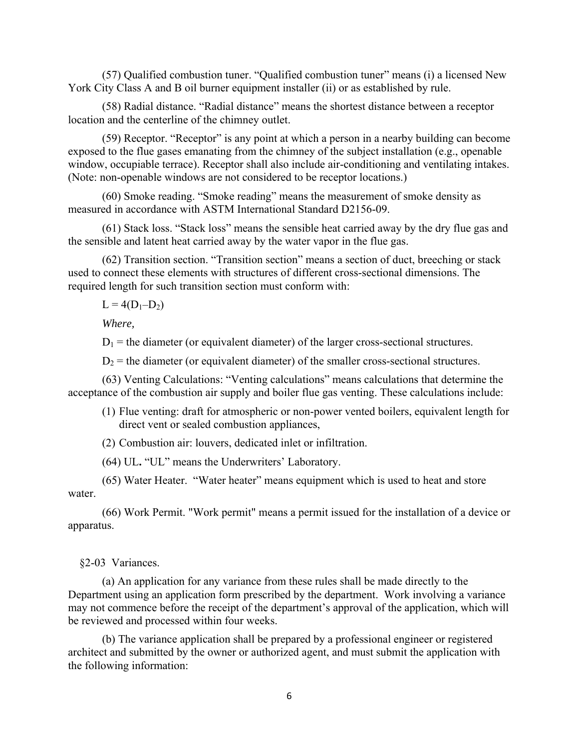(57) Qualified combustion tuner. "Qualified combustion tuner" means (i) a licensed New York City Class A and B oil burner equipment installer (ii) or as established by rule.

 (58) Radial distance. "Radial distance" means the shortest distance between a receptor location and the centerline of the chimney outlet.

 (59) Receptor. "Receptor" is any point at which a person in a nearby building can become exposed to the flue gases emanating from the chimney of the subject installation (e.g., openable window, occupiable terrace). Receptor shall also include air-conditioning and ventilating intakes. (Note: non-openable windows are not considered to be receptor locations.)

 (60) Smoke reading. "Smoke reading" means the measurement of smoke density as measured in accordance with ASTM International Standard D2156-09.

 (61) Stack loss. "Stack loss" means the sensible heat carried away by the dry flue gas and the sensible and latent heat carried away by the water vapor in the flue gas.

 (62) Transition section. "Transition section" means a section of duct, breeching or stack used to connect these elements with structures of different cross-sectional dimensions. The required length for such transition section must conform with:

 $L = 4(D_1-D_2)$ 

 *Where,*

 $D_1$  = the diameter (or equivalent diameter) of the larger cross-sectional structures.

 $D<sub>2</sub>$  = the diameter (or equivalent diameter) of the smaller cross-sectional structures.

 (63) Venting Calculations: "Venting calculations" means calculations that determine the acceptance of the combustion air supply and boiler flue gas venting. These calculations include:

(1) Flue venting: draft for atmospheric or non-power vented boilers, equivalent length for direct vent or sealed combustion appliances,

(2) Combustion air: louvers, dedicated inlet or infiltration.

(64) UL**.** "UL" means the Underwriters' Laboratory.

 (65) Water Heater. "Water heater" means equipment which is used to heat and store water.

 (66) Work Permit. "Work permit" means a permit issued for the installation of a device or apparatus.

§2-03 Variances.

 (a) An application for any variance from these rules shall be made directly to the Department using an application form prescribed by the department. Work involving a variance may not commence before the receipt of the department's approval of the application, which will be reviewed and processed within four weeks.

 (b) The variance application shall be prepared by a professional engineer or registered architect and submitted by the owner or authorized agent, and must submit the application with the following information: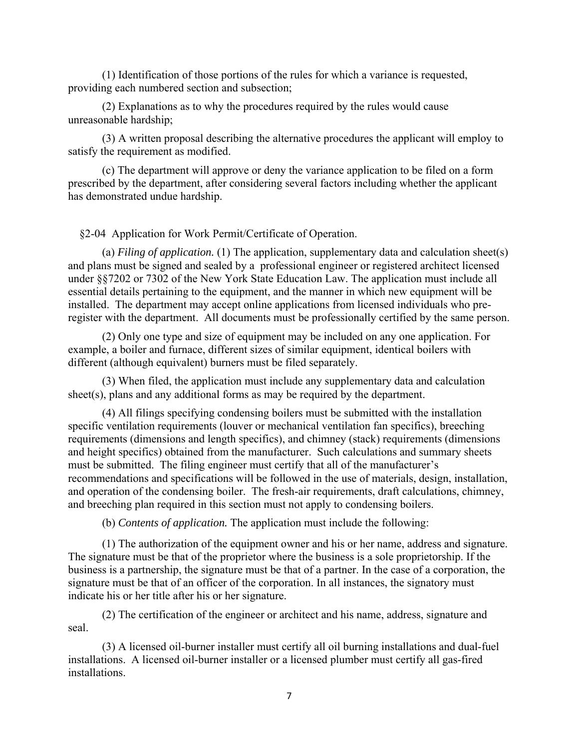(1) Identification of those portions of the rules for which a variance is requested, providing each numbered section and subsection;

 (2) Explanations as to why the procedures required by the rules would cause unreasonable hardship;

 (3) A written proposal describing the alternative procedures the applicant will employ to satisfy the requirement as modified.

 (c) The department will approve or deny the variance application to be filed on a form prescribed by the department, after considering several factors including whether the applicant has demonstrated undue hardship.

§2-04 Application for Work Permit/Certificate of Operation.

 (a) *Filing of application.* (1) The application, supplementary data and calculation sheet(s) and plans must be signed and sealed by a professional engineer or registered architect licensed under §§7202 or 7302 of the New York State Education Law. The application must include all essential details pertaining to the equipment, and the manner in which new equipment will be installed. The department may accept online applications from licensed individuals who preregister with the department. All documents must be professionally certified by the same person.

 (2) Only one type and size of equipment may be included on any one application. For example, a boiler and furnace, different sizes of similar equipment, identical boilers with different (although equivalent) burners must be filed separately.

 (3) When filed, the application must include any supplementary data and calculation sheet(s), plans and any additional forms as may be required by the department.

(4) All filings specifying condensing boilers must be submitted with the installation specific ventilation requirements (louver or mechanical ventilation fan specifics), breeching requirements (dimensions and length specifics), and chimney (stack) requirements (dimensions and height specifics) obtained from the manufacturer. Such calculations and summary sheets must be submitted. The filing engineer must certify that all of the manufacturer's recommendations and specifications will be followed in the use of materials, design, installation, and operation of the condensing boiler. The fresh-air requirements, draft calculations, chimney, and breeching plan required in this section must not apply to condensing boilers.

(b) *Contents of application.* The application must include the following:

 (1) The authorization of the equipment owner and his or her name, address and signature. The signature must be that of the proprietor where the business is a sole proprietorship. If the business is a partnership, the signature must be that of a partner. In the case of a corporation, the signature must be that of an officer of the corporation. In all instances, the signatory must indicate his or her title after his or her signature.

 (2) The certification of the engineer or architect and his name, address, signature and seal.

 (3) A licensed oil-burner installer must certify all oil burning installations and dual-fuel installations. A licensed oil-burner installer or a licensed plumber must certify all gas-fired installations.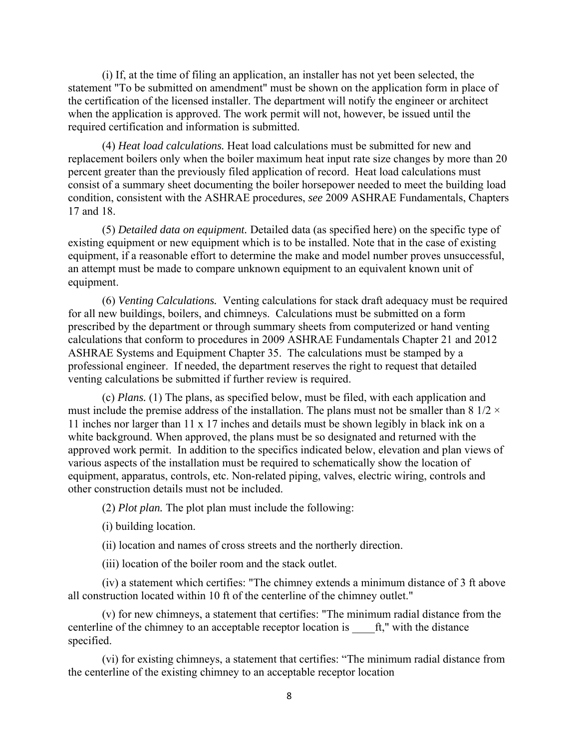(i) If, at the time of filing an application, an installer has not yet been selected, the statement "To be submitted on amendment" must be shown on the application form in place of the certification of the licensed installer. The department will notify the engineer or architect when the application is approved. The work permit will not, however, be issued until the required certification and information is submitted.

 (4) *Heat load calculations.* Heat load calculations must be submitted for new and replacement boilers only when the boiler maximum heat input rate size changes by more than 20 percent greater than the previously filed application of record. Heat load calculations must consist of a summary sheet documenting the boiler horsepower needed to meet the building load condition, consistent with the ASHRAE procedures, *see* 2009 ASHRAE Fundamentals, Chapters 17 and 18.

 (5) *Detailed data on equipment.* Detailed data (as specified here) on the specific type of existing equipment or new equipment which is to be installed. Note that in the case of existing equipment, if a reasonable effort to determine the make and model number proves unsuccessful, an attempt must be made to compare unknown equipment to an equivalent known unit of equipment.

 (6) *Venting Calculations.* Venting calculations for stack draft adequacy must be required for all new buildings, boilers, and chimneys. Calculations must be submitted on a form prescribed by the department or through summary sheets from computerized or hand venting calculations that conform to procedures in 2009 ASHRAE Fundamentals Chapter 21 and 2012 ASHRAE Systems and Equipment Chapter 35. The calculations must be stamped by a professional engineer. If needed, the department reserves the right to request that detailed venting calculations be submitted if further review is required.

 (c) *Plans.* (1) The plans, as specified below, must be filed, with each application and must include the premise address of the installation. The plans must not be smaller than 8  $1/2 \times$ 11 inches nor larger than 11 x 17 inches and details must be shown legibly in black ink on a white background. When approved, the plans must be so designated and returned with the approved work permit. In addition to the specifics indicated below, elevation and plan views of various aspects of the installation must be required to schematically show the location of equipment, apparatus, controls, etc. Non-related piping, valves, electric wiring, controls and other construction details must not be included.

(2) *Plot plan.* The plot plan must include the following:

(i) building location.

(ii) location and names of cross streets and the northerly direction.

(iii) location of the boiler room and the stack outlet.

 (iv) a statement which certifies: "The chimney extends a minimum distance of 3 ft above all construction located within 10 ft of the centerline of the chimney outlet."

 (v) for new chimneys, a statement that certifies: "The minimum radial distance from the centerline of the chimney to an acceptable receptor location is  $\hat{f}$ ," with the distance specified.

 (vi) for existing chimneys, a statement that certifies: "The minimum radial distance from the centerline of the existing chimney to an acceptable receptor location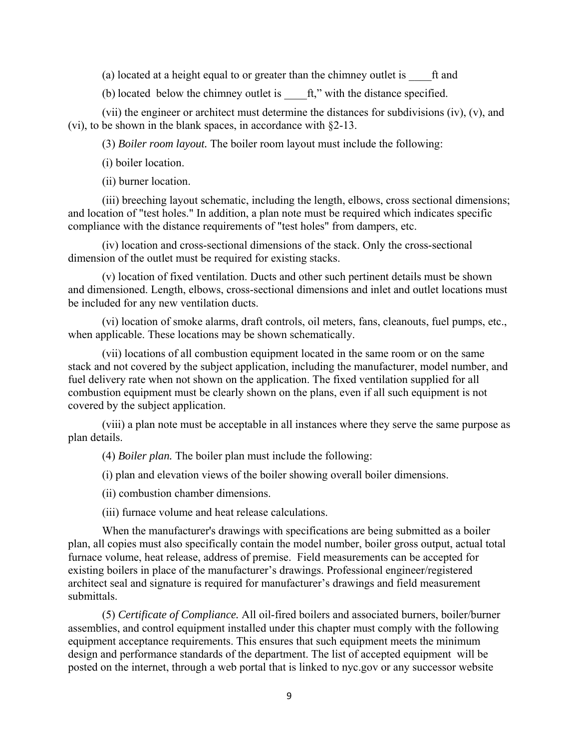(a) located at a height equal to or greater than the chimney outlet is ft and

(b) located below the chimney outlet is  $\hat{f}$ ," with the distance specified.

 (vii) the engineer or architect must determine the distances for subdivisions (iv), (v), and (vi), to be shown in the blank spaces, in accordance with §2-13.

(3) *Boiler room layout.* The boiler room layout must include the following:

(i) boiler location.

(ii) burner location.

 (iii) breeching layout schematic, including the length, elbows, cross sectional dimensions; and location of "test holes." In addition, a plan note must be required which indicates specific compliance with the distance requirements of "test holes" from dampers, etc.

 (iv) location and cross-sectional dimensions of the stack. Only the cross-sectional dimension of the outlet must be required for existing stacks.

 (v) location of fixed ventilation. Ducts and other such pertinent details must be shown and dimensioned. Length, elbows, cross-sectional dimensions and inlet and outlet locations must be included for any new ventilation ducts.

 (vi) location of smoke alarms, draft controls, oil meters, fans, cleanouts, fuel pumps, etc., when applicable. These locations may be shown schematically.

 (vii) locations of all combustion equipment located in the same room or on the same stack and not covered by the subject application, including the manufacturer, model number, and fuel delivery rate when not shown on the application. The fixed ventilation supplied for all combustion equipment must be clearly shown on the plans, even if all such equipment is not covered by the subject application.

 (viii) a plan note must be acceptable in all instances where they serve the same purpose as plan details.

(4) *Boiler plan.* The boiler plan must include the following:

(i) plan and elevation views of the boiler showing overall boiler dimensions.

(ii) combustion chamber dimensions.

(iii) furnace volume and heat release calculations.

 When the manufacturer's drawings with specifications are being submitted as a boiler plan, all copies must also specifically contain the model number, boiler gross output, actual total furnace volume, heat release, address of premise. Field measurements can be accepted for existing boilers in place of the manufacturer's drawings. Professional engineer/registered architect seal and signature is required for manufacturer's drawings and field measurement submittals.

 (5) *Certificate of Compliance.* All oil-fired boilers and associated burners, boiler/burner assemblies, and control equipment installed under this chapter must comply with the following equipment acceptance requirements. This ensures that such equipment meets the minimum design and performance standards of the department. The list of accepted equipment will be posted on the internet, through a web portal that is linked to nyc.gov or any successor website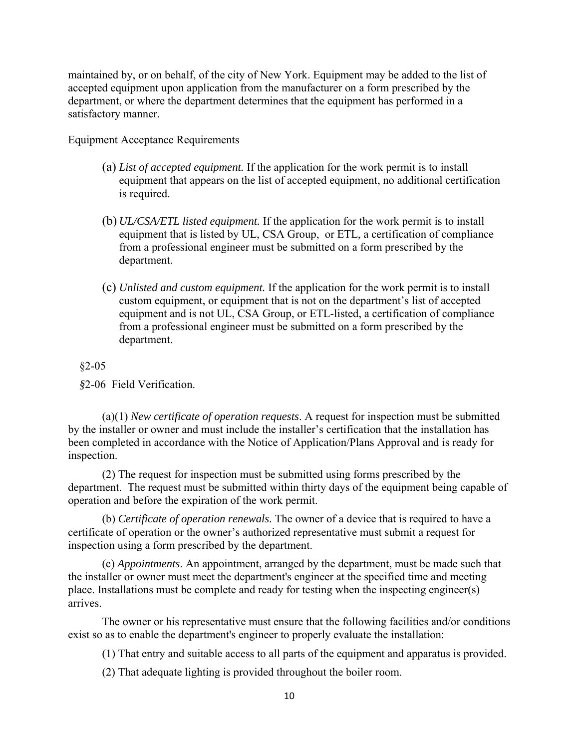maintained by, or on behalf, of the city of New York. Equipment may be added to the list of accepted equipment upon application from the manufacturer on a form prescribed by the department, or where the department determines that the equipment has performed in a satisfactory manner.

Equipment Acceptance Requirements

- (a) *List of accepted equipment.* If the application for the work permit is to install equipment that appears on the list of accepted equipment, no additional certification is required.
- (b) *UL/CSA/ETL listed equipment.* If the application for the work permit is to install equipment that is listed by UL, CSA Group, or ETL, a certification of compliance from a professional engineer must be submitted on a form prescribed by the department.
- (c) *Unlisted and custom equipment.* If the application for the work permit is to install custom equipment, or equipment that is not on the department's list of accepted equipment and is not UL, CSA Group, or ETL-listed, a certification of compliance from a professional engineer must be submitted on a form prescribed by the department.

#### §2-05

 *§*2-06Field Verification.

(a)(1) *New certificate of operation requests*. A request for inspection must be submitted by the installer or owner and must include the installer's certification that the installation has been completed in accordance with the Notice of Application/Plans Approval and is ready for inspection.

(2) The request for inspection must be submitted using forms prescribed by the department. The request must be submitted within thirty days of the equipment being capable of operation and before the expiration of the work permit.

(b) *Certificate of operation renewals*. The owner of a device that is required to have a certificate of operation or the owner's authorized representative must submit a request for inspection using a form prescribed by the department.

(c) *Appointments*. An appointment, arranged by the department, must be made such that the installer or owner must meet the department's engineer at the specified time and meeting place. Installations must be complete and ready for testing when the inspecting engineer(s) arrives.

The owner or his representative must ensure that the following facilities and/or conditions exist so as to enable the department's engineer to properly evaluate the installation:

(1) That entry and suitable access to all parts of the equipment and apparatus is provided.

(2) That adequate lighting is provided throughout the boiler room.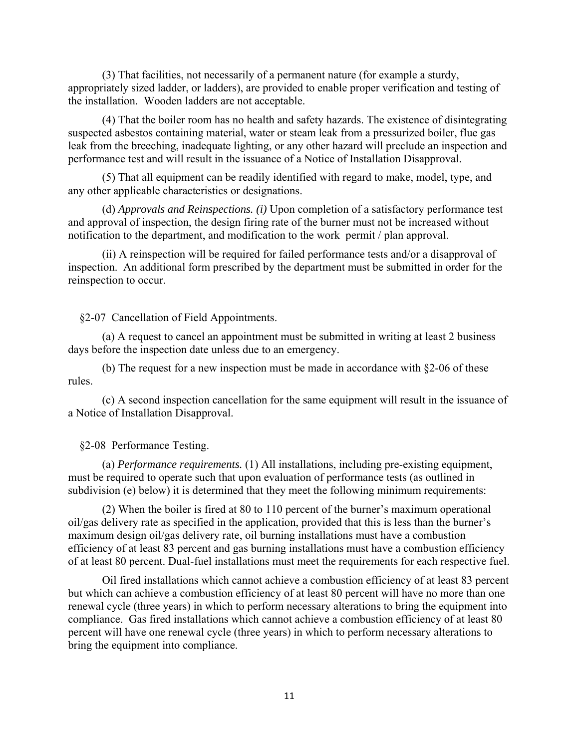(3) That facilities, not necessarily of a permanent nature (for example a sturdy, appropriately sized ladder, or ladders), are provided to enable proper verification and testing of the installation. Wooden ladders are not acceptable.

 (4) That the boiler room has no health and safety hazards. The existence of disintegrating suspected asbestos containing material, water or steam leak from a pressurized boiler, flue gas leak from the breeching, inadequate lighting, or any other hazard will preclude an inspection and performance test and will result in the issuance of a Notice of Installation Disapproval.

 (5) That all equipment can be readily identified with regard to make, model, type, and any other applicable characteristics or designations.

 (d) *Approvals and Reinspections. (i)* Upon completion of a satisfactory performance test and approval of inspection, the design firing rate of the burner must not be increased without notification to the department, and modification to the work permit / plan approval.

 (ii) A reinspection will be required for failed performance tests and/or a disapproval of inspection. An additional form prescribed by the department must be submitted in order for the reinspection to occur.

§2-07 Cancellation of Field Appointments.

 (a) A request to cancel an appointment must be submitted in writing at least 2 business days before the inspection date unless due to an emergency.

 (b) The request for a new inspection must be made in accordance with §2-06 of these rules.

 (c) A second inspection cancellation for the same equipment will result in the issuance of a Notice of Installation Disapproval.

§2-08 Performance Testing.

 (a) *Performance requirements.* (1) All installations, including pre-existing equipment, must be required to operate such that upon evaluation of performance tests (as outlined in subdivision (e) below) it is determined that they meet the following minimum requirements:

 (2) When the boiler is fired at 80 to 110 percent of the burner's maximum operational oil/gas delivery rate as specified in the application, provided that this is less than the burner's maximum design oil/gas delivery rate, oil burning installations must have a combustion efficiency of at least 83 percent and gas burning installations must have a combustion efficiency of at least 80 percent. Dual-fuel installations must meet the requirements for each respective fuel.

 Oil fired installations which cannot achieve a combustion efficiency of at least 83 percent but which can achieve a combustion efficiency of at least 80 percent will have no more than one renewal cycle (three years) in which to perform necessary alterations to bring the equipment into compliance. Gas fired installations which cannot achieve a combustion efficiency of at least 80 percent will have one renewal cycle (three years) in which to perform necessary alterations to bring the equipment into compliance.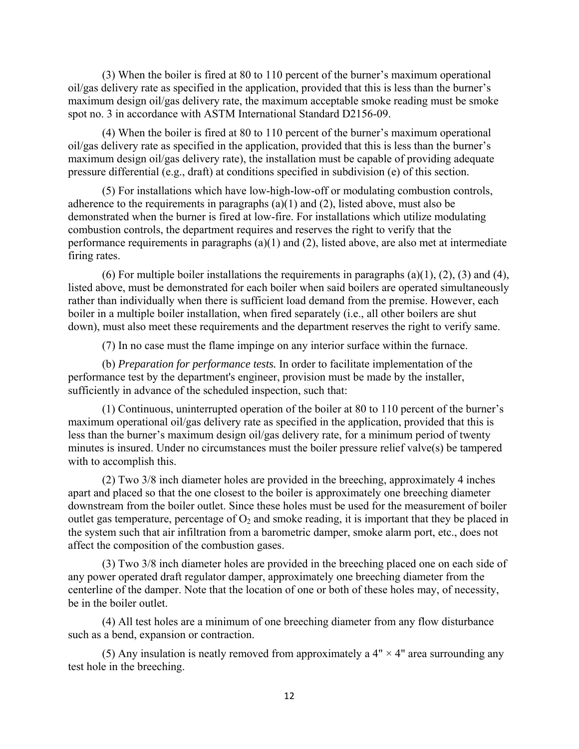(3) When the boiler is fired at 80 to 110 percent of the burner's maximum operational oil/gas delivery rate as specified in the application, provided that this is less than the burner's maximum design oil/gas delivery rate, the maximum acceptable smoke reading must be smoke spot no. 3 in accordance with ASTM International Standard D2156-09.

 (4) When the boiler is fired at 80 to 110 percent of the burner's maximum operational oil/gas delivery rate as specified in the application, provided that this is less than the burner's maximum design oil/gas delivery rate), the installation must be capable of providing adequate pressure differential (e.g., draft) at conditions specified in subdivision (e) of this section.

 (5) For installations which have low-high-low-off or modulating combustion controls, adherence to the requirements in paragraphs (a)(1) and (2), listed above, must also be demonstrated when the burner is fired at low-fire. For installations which utilize modulating combustion controls, the department requires and reserves the right to verify that the performance requirements in paragraphs (a)(1) and (2), listed above, are also met at intermediate firing rates.

(6) For multiple boiler installations the requirements in paragraphs (a)(1), (2), (3) and (4), listed above, must be demonstrated for each boiler when said boilers are operated simultaneously rather than individually when there is sufficient load demand from the premise. However, each boiler in a multiple boiler installation, when fired separately (i.e., all other boilers are shut down), must also meet these requirements and the department reserves the right to verify same.

(7) In no case must the flame impinge on any interior surface within the furnace.

 (b) *Preparation for performance tests.* In order to facilitate implementation of the performance test by the department's engineer, provision must be made by the installer, sufficiently in advance of the scheduled inspection, such that:

 (1) Continuous, uninterrupted operation of the boiler at 80 to 110 percent of the burner's maximum operational oil/gas delivery rate as specified in the application, provided that this is less than the burner's maximum design oil/gas delivery rate, for a minimum period of twenty minutes is insured. Under no circumstances must the boiler pressure relief valve(s) be tampered with to accomplish this.

 (2) Two 3/8 inch diameter holes are provided in the breeching, approximately 4 inches apart and placed so that the one closest to the boiler is approximately one breeching diameter downstream from the boiler outlet. Since these holes must be used for the measurement of boiler outlet gas temperature, percentage of  $O_2$  and smoke reading, it is important that they be placed in the system such that air infiltration from a barometric damper, smoke alarm port, etc., does not affect the composition of the combustion gases.

 (3) Two 3/8 inch diameter holes are provided in the breeching placed one on each side of any power operated draft regulator damper, approximately one breeching diameter from the centerline of the damper. Note that the location of one or both of these holes may, of necessity, be in the boiler outlet.

 (4) All test holes are a minimum of one breeching diameter from any flow disturbance such as a bend, expansion or contraction.

(5) Any insulation is neatly removed from approximately a  $4" \times 4"$  area surrounding any test hole in the breeching.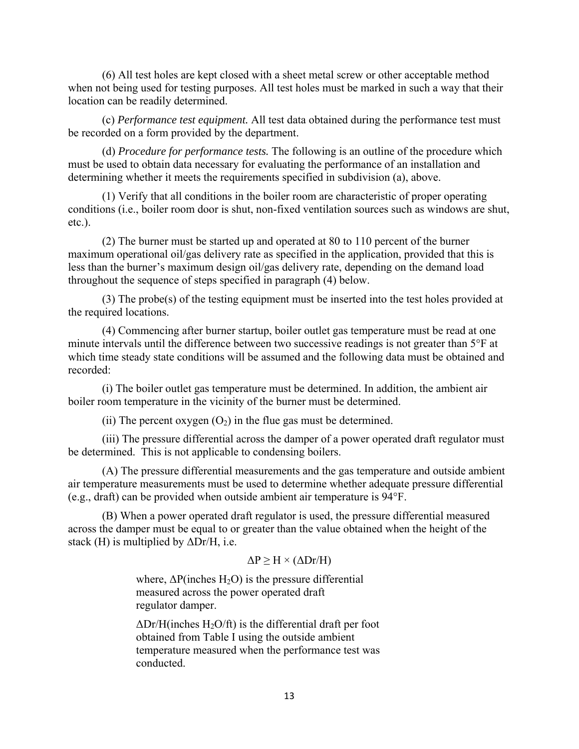(6) All test holes are kept closed with a sheet metal screw or other acceptable method when not being used for testing purposes. All test holes must be marked in such a way that their location can be readily determined.

 (c) *Performance test equipment.* All test data obtained during the performance test must be recorded on a form provided by the department.

 (d) *Procedure for performance tests.* The following is an outline of the procedure which must be used to obtain data necessary for evaluating the performance of an installation and determining whether it meets the requirements specified in subdivision (a), above.

 (1) Verify that all conditions in the boiler room are characteristic of proper operating conditions (i.e., boiler room door is shut, non-fixed ventilation sources such as windows are shut, etc.).

 (2) The burner must be started up and operated at 80 to 110 percent of the burner maximum operational oil/gas delivery rate as specified in the application, provided that this is less than the burner's maximum design oil/gas delivery rate, depending on the demand load throughout the sequence of steps specified in paragraph (4) below.

 (3) The probe(s) of the testing equipment must be inserted into the test holes provided at the required locations.

 (4) Commencing after burner startup, boiler outlet gas temperature must be read at one minute intervals until the difference between two successive readings is not greater than 5°F at which time steady state conditions will be assumed and the following data must be obtained and recorded:

 (i) The boiler outlet gas temperature must be determined. In addition, the ambient air boiler room temperature in the vicinity of the burner must be determined.

(ii) The percent oxygen  $(O_2)$  in the flue gas must be determined.

 (iii) The pressure differential across the damper of a power operated draft regulator must be determined. This is not applicable to condensing boilers.

 (A) The pressure differential measurements and the gas temperature and outside ambient air temperature measurements must be used to determine whether adequate pressure differential (e.g., draft) can be provided when outside ambient air temperature is 94°F.

 (B) When a power operated draft regulator is used, the pressure differential measured across the damper must be equal to or greater than the value obtained when the height of the stack (H) is multiplied by  $\Delta$ Dr/H, i.e.

## $\Delta P$  > H × ( $\Delta Dr/H$ )

where,  $\Delta P$ (inches H<sub>2</sub>O) is the pressure differential measured across the power operated draft regulator damper.

 $\Delta$ Dr/H(inches H<sub>2</sub>O/ft) is the differential draft per foot obtained from Table I using the outside ambient temperature measured when the performance test was conducted.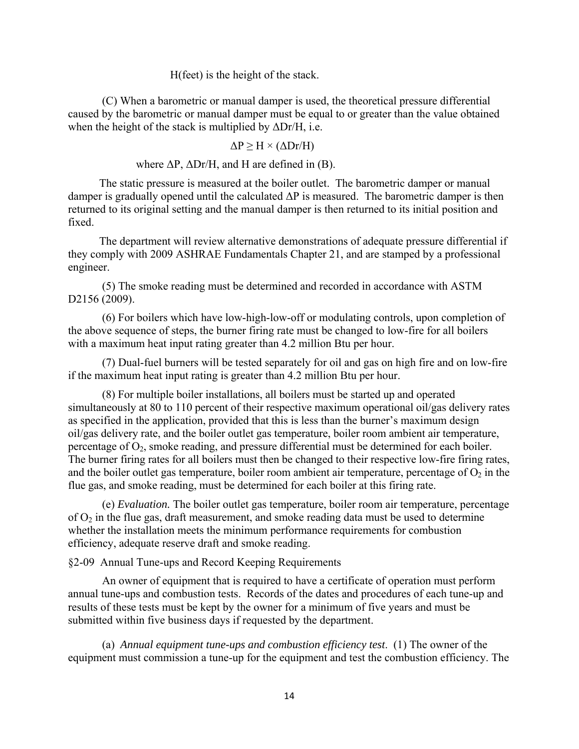H(feet) is the height of the stack.

 (C) When a barometric or manual damper is used, the theoretical pressure differential caused by the barometric or manual damper must be equal to or greater than the value obtained when the height of the stack is multiplied by  $\Delta$ Dr/H, i.e.

$$
\Delta P \ge H \times (\Delta Dr/H)
$$

where  $\Delta P$ ,  $\Delta Dr/H$ , and H are defined in (B).

 The static pressure is measured at the boiler outlet. The barometric damper or manual damper is gradually opened until the calculated  $\Delta P$  is measured. The barometric damper is then returned to its original setting and the manual damper is then returned to its initial position and fixed.

 The department will review alternative demonstrations of adequate pressure differential if they comply with 2009 ASHRAE Fundamentals Chapter 21, and are stamped by a professional engineer.

 (5) The smoke reading must be determined and recorded in accordance with ASTM D2156 (2009).

 (6) For boilers which have low-high-low-off or modulating controls, upon completion of the above sequence of steps, the burner firing rate must be changed to low-fire for all boilers with a maximum heat input rating greater than 4.2 million Btu per hour.

 (7) Dual-fuel burners will be tested separately for oil and gas on high fire and on low-fire if the maximum heat input rating is greater than 4.2 million Btu per hour.

 (8) For multiple boiler installations, all boilers must be started up and operated simultaneously at 80 to 110 percent of their respective maximum operational oil/gas delivery rates as specified in the application, provided that this is less than the burner's maximum design oil/gas delivery rate, and the boiler outlet gas temperature, boiler room ambient air temperature, percentage of  $O_2$ , smoke reading, and pressure differential must be determined for each boiler. The burner firing rates for all boilers must then be changed to their respective low-fire firing rates, and the boiler outlet gas temperature, boiler room ambient air temperature, percentage of  $O_2$  in the flue gas, and smoke reading, must be determined for each boiler at this firing rate.

 (e) *Evaluation.* The boiler outlet gas temperature, boiler room air temperature, percentage of  $O_2$  in the flue gas, draft measurement, and smoke reading data must be used to determine whether the installation meets the minimum performance requirements for combustion efficiency, adequate reserve draft and smoke reading.

§2-09 Annual Tune-ups and Record Keeping Requirements

 An owner of equipment that is required to have a certificate of operation must perform annual tune-ups and combustion tests. Records of the dates and procedures of each tune-up and results of these tests must be kept by the owner for a minimum of five years and must be submitted within five business days if requested by the department.

(a) *Annual equipment tune-ups and combustion efficiency test*. (1) The owner of the equipment must commission a tune-up for the equipment and test the combustion efficiency. The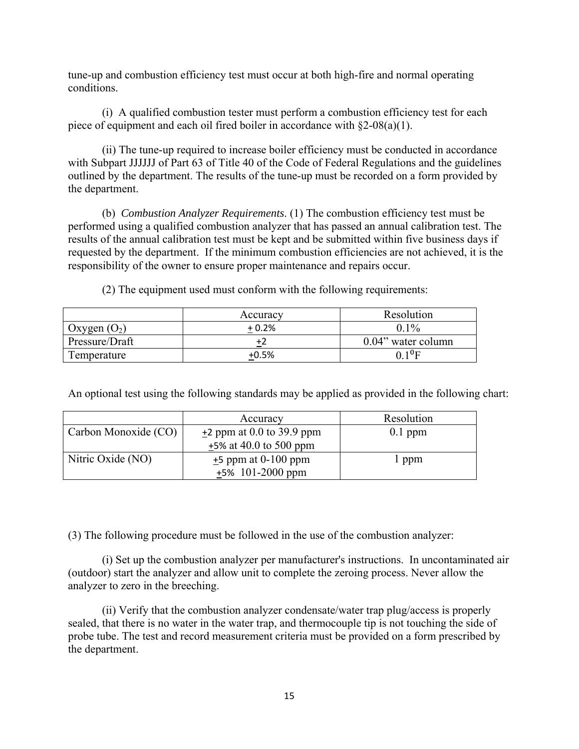tune-up and combustion efficiency test must occur at both high-fire and normal operating conditions.

(i) A qualified combustion tester must perform a combustion efficiency test for each piece of equipment and each oil fired boiler in accordance with  $\S2-08(a)(1)$ .

(ii) The tune-up required to increase boiler efficiency must be conducted in accordance with Subpart JJJJJJ of Part 63 of Title 40 of the Code of Federal Regulations and the guidelines outlined by the department. The results of the tune-up must be recorded on a form provided by the department.

(b) *Combustion Analyzer Requirements*. (1) The combustion efficiency test must be performed using a qualified combustion analyzer that has passed an annual calibration test. The results of the annual calibration test must be kept and be submitted within five business days if requested by the department. If the minimum combustion efficiencies are not achieved, it is the responsibility of the owner to ensure proper maintenance and repairs occur.

(2) The equipment used must conform with the following requirements:

|                | Accuracy | Resolution            |  |  |
|----------------|----------|-----------------------|--|--|
| Oxygen $(O_2)$ | $+0.2%$  | $0.1\%$               |  |  |
| Pressure/Draft |          | $0.04$ " water column |  |  |
| Temperature    | $+0.5%$  | ስ 1 ሆ                 |  |  |

An optional test using the following standards may be applied as provided in the following chart:

|                      | Accuracy                    | Resolution |
|----------------------|-----------------------------|------------|
| Carbon Monoxide (CO) | $+2$ ppm at 0.0 to 39.9 ppm | $0.1$ ppm  |
|                      | $+5\%$ at 40.0 to 500 ppm   |            |
| Nitric Oxide (NO)    | $+5$ ppm at 0-100 ppm       | 1 ppm      |
|                      | $+5\%$ 101-2000 ppm         |            |

(3) The following procedure must be followed in the use of the combustion analyzer:

(i) Set up the combustion analyzer per manufacturer's instructions. In uncontaminated air (outdoor) start the analyzer and allow unit to complete the zeroing process. Never allow the analyzer to zero in the breeching.

(ii) Verify that the combustion analyzer condensate/water trap plug/access is properly sealed, that there is no water in the water trap, and thermocouple tip is not touching the side of probe tube. The test and record measurement criteria must be provided on a form prescribed by the department.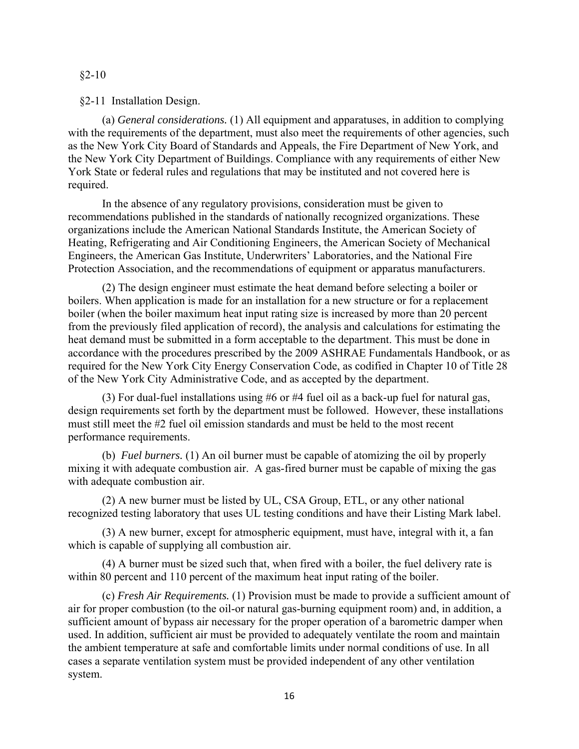### $§2 - 10$

### §2-11 Installation Design.

(a) *General considerations.* (1) All equipment and apparatuses, in addition to complying with the requirements of the department, must also meet the requirements of other agencies, such as the New York City Board of Standards and Appeals, the Fire Department of New York, and the New York City Department of Buildings. Compliance with any requirements of either New York State or federal rules and regulations that may be instituted and not covered here is required.

 In the absence of any regulatory provisions, consideration must be given to recommendations published in the standards of nationally recognized organizations. These organizations include the American National Standards Institute, the American Society of Heating, Refrigerating and Air Conditioning Engineers, the American Society of Mechanical Engineers, the American Gas Institute, Underwriters' Laboratories, and the National Fire Protection Association, and the recommendations of equipment or apparatus manufacturers.

(2) The design engineer must estimate the heat demand before selecting a boiler or boilers. When application is made for an installation for a new structure or for a replacement boiler (when the boiler maximum heat input rating size is increased by more than 20 percent from the previously filed application of record), the analysis and calculations for estimating the heat demand must be submitted in a form acceptable to the department. This must be done in accordance with the procedures prescribed by the 2009 ASHRAE Fundamentals Handbook, or as required for the New York City Energy Conservation Code, as codified in Chapter 10 of Title 28 of the New York City Administrative Code, and as accepted by the department.

(3) For dual-fuel installations using #6 or #4 fuel oil as a back-up fuel for natural gas, design requirements set forth by the department must be followed. However, these installations must still meet the #2 fuel oil emission standards and must be held to the most recent performance requirements.

(b) *Fuel burners.* (1) An oil burner must be capable of atomizing the oil by properly mixing it with adequate combustion air. A gas-fired burner must be capable of mixing the gas with adequate combustion air.

(2) A new burner must be listed by UL, CSA Group, ETL, or any other national recognized testing laboratory that uses UL testing conditions and have their Listing Mark label.

(3) A new burner, except for atmospheric equipment, must have, integral with it, a fan which is capable of supplying all combustion air.

(4) A burner must be sized such that, when fired with a boiler, the fuel delivery rate is within 80 percent and 110 percent of the maximum heat input rating of the boiler.

(c) *Fresh Air Requirements.* (1) Provision must be made to provide a sufficient amount of air for proper combustion (to the oil-or natural gas-burning equipment room) and, in addition, a sufficient amount of bypass air necessary for the proper operation of a barometric damper when used. In addition, sufficient air must be provided to adequately ventilate the room and maintain the ambient temperature at safe and comfortable limits under normal conditions of use. In all cases a separate ventilation system must be provided independent of any other ventilation system.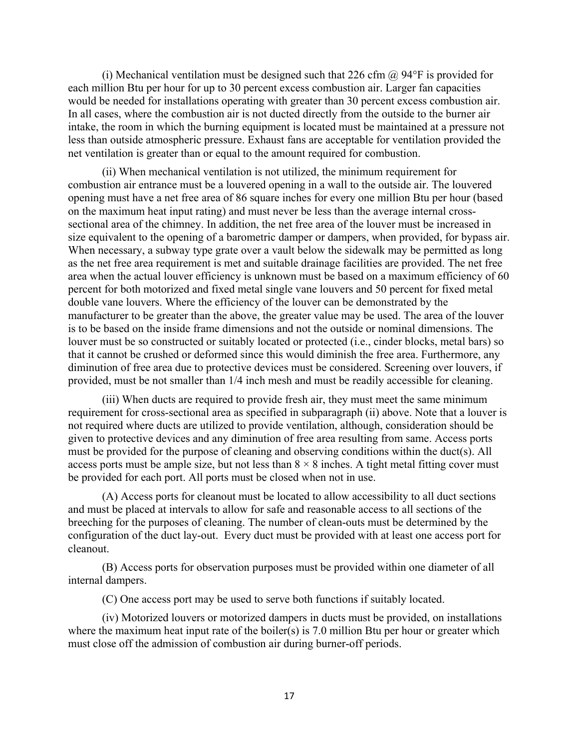(i) Mechanical ventilation must be designed such that 226 cfm  $\omega$  94°F is provided for each million Btu per hour for up to 30 percent excess combustion air. Larger fan capacities would be needed for installations operating with greater than 30 percent excess combustion air. In all cases, where the combustion air is not ducted directly from the outside to the burner air intake, the room in which the burning equipment is located must be maintained at a pressure not less than outside atmospheric pressure. Exhaust fans are acceptable for ventilation provided the net ventilation is greater than or equal to the amount required for combustion.

(ii) When mechanical ventilation is not utilized, the minimum requirement for combustion air entrance must be a louvered opening in a wall to the outside air. The louvered opening must have a net free area of 86 square inches for every one million Btu per hour (based on the maximum heat input rating) and must never be less than the average internal crosssectional area of the chimney. In addition, the net free area of the louver must be increased in size equivalent to the opening of a barometric damper or dampers, when provided, for bypass air. When necessary, a subway type grate over a vault below the sidewalk may be permitted as long as the net free area requirement is met and suitable drainage facilities are provided. The net free area when the actual louver efficiency is unknown must be based on a maximum efficiency of 60 percent for both motorized and fixed metal single vane louvers and 50 percent for fixed metal double vane louvers. Where the efficiency of the louver can be demonstrated by the manufacturer to be greater than the above, the greater value may be used. The area of the louver is to be based on the inside frame dimensions and not the outside or nominal dimensions. The louver must be so constructed or suitably located or protected (i.e., cinder blocks, metal bars) so that it cannot be crushed or deformed since this would diminish the free area. Furthermore, any diminution of free area due to protective devices must be considered. Screening over louvers, if provided, must be not smaller than 1/4 inch mesh and must be readily accessible for cleaning.

(iii) When ducts are required to provide fresh air, they must meet the same minimum requirement for cross-sectional area as specified in subparagraph (ii) above. Note that a louver is not required where ducts are utilized to provide ventilation, although, consideration should be given to protective devices and any diminution of free area resulting from same. Access ports must be provided for the purpose of cleaning and observing conditions within the duct(s). All access ports must be ample size, but not less than  $8 \times 8$  inches. A tight metal fitting cover must be provided for each port. All ports must be closed when not in use.

(A) Access ports for cleanout must be located to allow accessibility to all duct sections and must be placed at intervals to allow for safe and reasonable access to all sections of the breeching for the purposes of cleaning. The number of clean-outs must be determined by the configuration of the duct lay-out. Every duct must be provided with at least one access port for cleanout.

(B) Access ports for observation purposes must be provided within one diameter of all internal dampers.

(C) One access port may be used to serve both functions if suitably located.

(iv) Motorized louvers or motorized dampers in ducts must be provided, on installations where the maximum heat input rate of the boiler(s) is 7.0 million Btu per hour or greater which must close off the admission of combustion air during burner-off periods.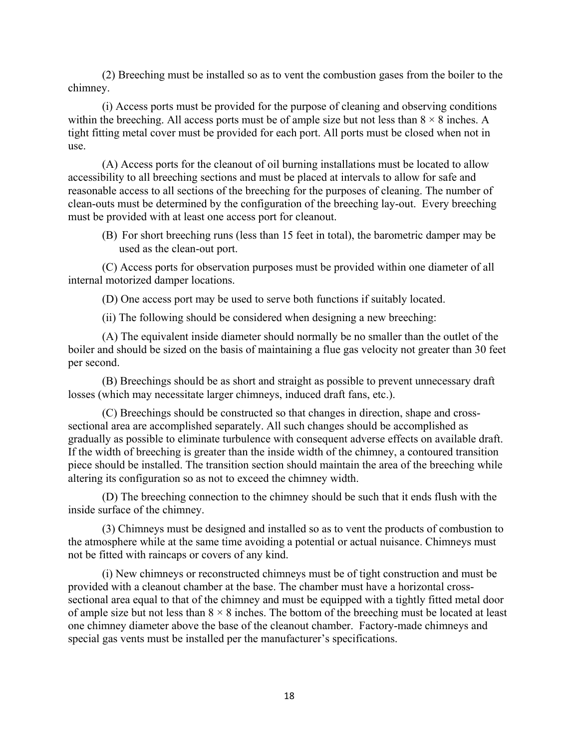(2) Breeching must be installed so as to vent the combustion gases from the boiler to the chimney.

(i) Access ports must be provided for the purpose of cleaning and observing conditions within the breeching. All access ports must be of ample size but not less than  $8 \times 8$  inches. A tight fitting metal cover must be provided for each port. All ports must be closed when not in use.

 (A) Access ports for the cleanout of oil burning installations must be located to allow accessibility to all breeching sections and must be placed at intervals to allow for safe and reasonable access to all sections of the breeching for the purposes of cleaning. The number of clean-outs must be determined by the configuration of the breeching lay-out. Every breeching must be provided with at least one access port for cleanout.

(B) For short breeching runs (less than 15 feet in total), the barometric damper may be used as the clean-out port.

(C) Access ports for observation purposes must be provided within one diameter of all internal motorized damper locations.

(D) One access port may be used to serve both functions if suitably located.

(ii) The following should be considered when designing a new breeching:

 (A) The equivalent inside diameter should normally be no smaller than the outlet of the boiler and should be sized on the basis of maintaining a flue gas velocity not greater than 30 feet per second.

 (B) Breechings should be as short and straight as possible to prevent unnecessary draft losses (which may necessitate larger chimneys, induced draft fans, etc.).

 (C) Breechings should be constructed so that changes in direction, shape and crosssectional area are accomplished separately. All such changes should be accomplished as gradually as possible to eliminate turbulence with consequent adverse effects on available draft. If the width of breeching is greater than the inside width of the chimney, a contoured transition piece should be installed. The transition section should maintain the area of the breeching while altering its configuration so as not to exceed the chimney width.

 (D) The breeching connection to the chimney should be such that it ends flush with the inside surface of the chimney.

 (3) Chimneys must be designed and installed so as to vent the products of combustion to the atmosphere while at the same time avoiding a potential or actual nuisance. Chimneys must not be fitted with raincaps or covers of any kind.

 (i) New chimneys or reconstructed chimneys must be of tight construction and must be provided with a cleanout chamber at the base. The chamber must have a horizontal crosssectional area equal to that of the chimney and must be equipped with a tightly fitted metal door of ample size but not less than  $8 \times 8$  inches. The bottom of the breeching must be located at least one chimney diameter above the base of the cleanout chamber. Factory-made chimneys and special gas vents must be installed per the manufacturer's specifications.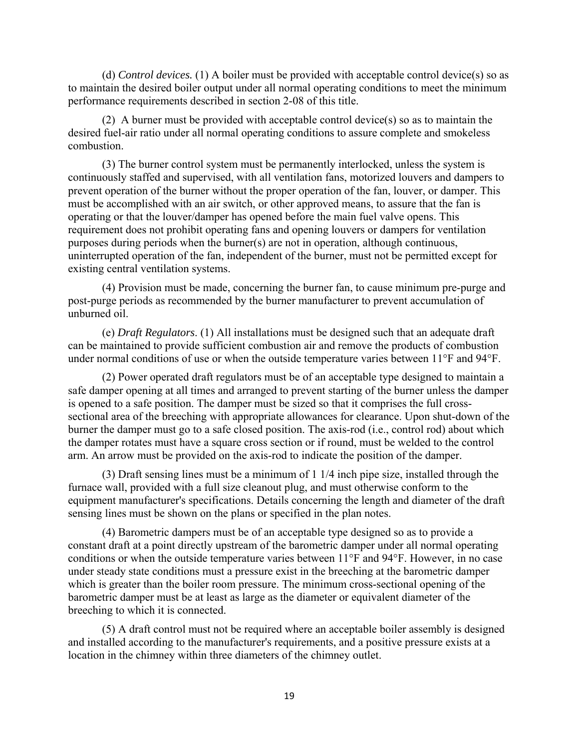(d) *Control devices.* (1) A boiler must be provided with acceptable control device(s) so as to maintain the desired boiler output under all normal operating conditions to meet the minimum performance requirements described in section 2-08 of this title.

 (2) A burner must be provided with acceptable control device(s) so as to maintain the desired fuel-air ratio under all normal operating conditions to assure complete and smokeless combustion.

 (3) The burner control system must be permanently interlocked, unless the system is continuously staffed and supervised, with all ventilation fans, motorized louvers and dampers to prevent operation of the burner without the proper operation of the fan, louver, or damper. This must be accomplished with an air switch, or other approved means, to assure that the fan is operating or that the louver/damper has opened before the main fuel valve opens. This requirement does not prohibit operating fans and opening louvers or dampers for ventilation purposes during periods when the burner(s) are not in operation, although continuous, uninterrupted operation of the fan, independent of the burner, must not be permitted except for existing central ventilation systems.

(4) Provision must be made, concerning the burner fan, to cause minimum pre-purge and post-purge periods as recommended by the burner manufacturer to prevent accumulation of unburned oil.

 (e) *Draft Regulators*. (1) All installations must be designed such that an adequate draft can be maintained to provide sufficient combustion air and remove the products of combustion under normal conditions of use or when the outside temperature varies between 11°F and 94°F.

 (2) Power operated draft regulators must be of an acceptable type designed to maintain a safe damper opening at all times and arranged to prevent starting of the burner unless the damper is opened to a safe position. The damper must be sized so that it comprises the full crosssectional area of the breeching with appropriate allowances for clearance. Upon shut-down of the burner the damper must go to a safe closed position. The axis-rod (i.e., control rod) about which the damper rotates must have a square cross section or if round, must be welded to the control arm. An arrow must be provided on the axis-rod to indicate the position of the damper.

(3) Draft sensing lines must be a minimum of 1 1/4 inch pipe size, installed through the furnace wall, provided with a full size cleanout plug, and must otherwise conform to the equipment manufacturer's specifications. Details concerning the length and diameter of the draft sensing lines must be shown on the plans or specified in the plan notes.

(4) Barometric dampers must be of an acceptable type designed so as to provide a constant draft at a point directly upstream of the barometric damper under all normal operating conditions or when the outside temperature varies between 11°F and 94°F. However, in no case under steady state conditions must a pressure exist in the breeching at the barometric damper which is greater than the boiler room pressure. The minimum cross-sectional opening of the barometric damper must be at least as large as the diameter or equivalent diameter of the breeching to which it is connected.

(5) A draft control must not be required where an acceptable boiler assembly is designed and installed according to the manufacturer's requirements, and a positive pressure exists at a location in the chimney within three diameters of the chimney outlet.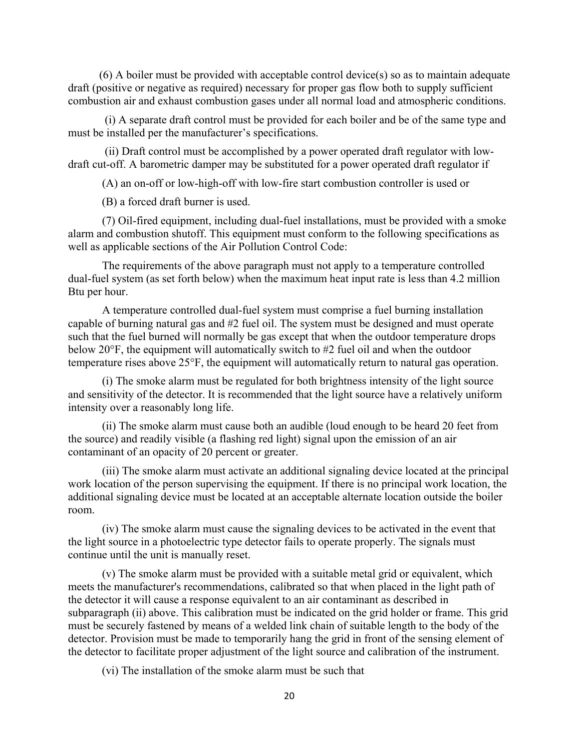(6) A boiler must be provided with acceptable control device(s) so as to maintain adequate draft (positive or negative as required) necessary for proper gas flow both to supply sufficient combustion air and exhaust combustion gases under all normal load and atmospheric conditions.

 (i) A separate draft control must be provided for each boiler and be of the same type and must be installed per the manufacturer's specifications.

 (ii) Draft control must be accomplished by a power operated draft regulator with lowdraft cut-off. A barometric damper may be substituted for a power operated draft regulator if

(A) an on-off or low-high-off with low-fire start combustion controller is used or

(B) a forced draft burner is used.

 (7) Oil-fired equipment, including dual-fuel installations, must be provided with a smoke alarm and combustion shutoff. This equipment must conform to the following specifications as well as applicable sections of the Air Pollution Control Code:

 The requirements of the above paragraph must not apply to a temperature controlled dual-fuel system (as set forth below) when the maximum heat input rate is less than 4.2 million Btu per hour.

 A temperature controlled dual-fuel system must comprise a fuel burning installation capable of burning natural gas and #2 fuel oil. The system must be designed and must operate such that the fuel burned will normally be gas except that when the outdoor temperature drops below 20°F, the equipment will automatically switch to #2 fuel oil and when the outdoor temperature rises above 25°F, the equipment will automatically return to natural gas operation.

 (i) The smoke alarm must be regulated for both brightness intensity of the light source and sensitivity of the detector. It is recommended that the light source have a relatively uniform intensity over a reasonably long life.

 (ii) The smoke alarm must cause both an audible (loud enough to be heard 20 feet from the source) and readily visible (a flashing red light) signal upon the emission of an air contaminant of an opacity of 20 percent or greater.

 (iii) The smoke alarm must activate an additional signaling device located at the principal work location of the person supervising the equipment. If there is no principal work location, the additional signaling device must be located at an acceptable alternate location outside the boiler room.

 (iv) The smoke alarm must cause the signaling devices to be activated in the event that the light source in a photoelectric type detector fails to operate properly. The signals must continue until the unit is manually reset.

 (v) The smoke alarm must be provided with a suitable metal grid or equivalent, which meets the manufacturer's recommendations, calibrated so that when placed in the light path of the detector it will cause a response equivalent to an air contaminant as described in subparagraph (ii) above. This calibration must be indicated on the grid holder or frame. This grid must be securely fastened by means of a welded link chain of suitable length to the body of the detector. Provision must be made to temporarily hang the grid in front of the sensing element of the detector to facilitate proper adjustment of the light source and calibration of the instrument.

(vi) The installation of the smoke alarm must be such that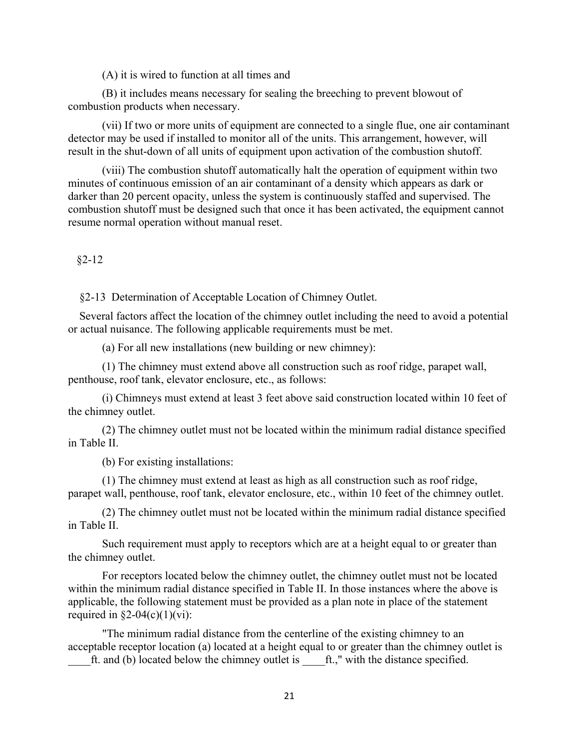(A) it is wired to function at all times and

 (B) it includes means necessary for sealing the breeching to prevent blowout of combustion products when necessary.

 (vii) If two or more units of equipment are connected to a single flue, one air contaminant detector may be used if installed to monitor all of the units. This arrangement, however, will result in the shut-down of all units of equipment upon activation of the combustion shutoff.

 (viii) The combustion shutoff automatically halt the operation of equipment within two minutes of continuous emission of an air contaminant of a density which appears as dark or darker than 20 percent opacity, unless the system is continuously staffed and supervised. The combustion shutoff must be designed such that once it has been activated, the equipment cannot resume normal operation without manual reset.

 $§2 - 12$ 

§2-13 Determination of Acceptable Location of Chimney Outlet.

Several factors affect the location of the chimney outlet including the need to avoid a potential or actual nuisance. The following applicable requirements must be met.

(a) For all new installations (new building or new chimney):

 (1) The chimney must extend above all construction such as roof ridge, parapet wall, penthouse, roof tank, elevator enclosure, etc., as follows:

 (i) Chimneys must extend at least 3 feet above said construction located within 10 feet of the chimney outlet.

 (2) The chimney outlet must not be located within the minimum radial distance specified in Table II.

(b) For existing installations:

 (1) The chimney must extend at least as high as all construction such as roof ridge, parapet wall, penthouse, roof tank, elevator enclosure, etc., within 10 feet of the chimney outlet.

 (2) The chimney outlet must not be located within the minimum radial distance specified in Table II.

 Such requirement must apply to receptors which are at a height equal to or greater than the chimney outlet.

 For receptors located below the chimney outlet, the chimney outlet must not be located within the minimum radial distance specified in Table II. In those instances where the above is applicable, the following statement must be provided as a plan note in place of the statement required in  $\S2-04(c)(1)(vi)$ :

 "The minimum radial distance from the centerline of the existing chimney to an acceptable receptor location (a) located at a height equal to or greater than the chimney outlet is ft. and (b) located below the chimney outlet is  $\qquad$  ft.," with the distance specified.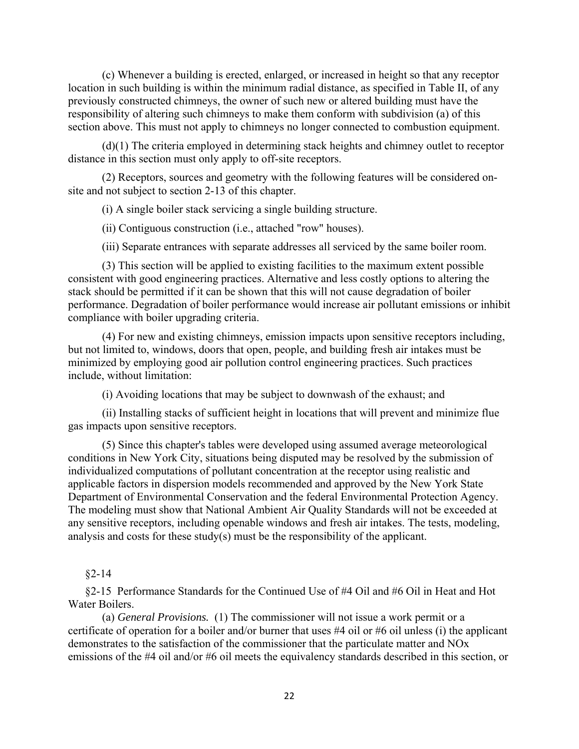(c) Whenever a building is erected, enlarged, or increased in height so that any receptor location in such building is within the minimum radial distance, as specified in Table II, of any previously constructed chimneys, the owner of such new or altered building must have the responsibility of altering such chimneys to make them conform with subdivision (a) of this section above. This must not apply to chimneys no longer connected to combustion equipment.

 (d)(1) The criteria employed in determining stack heights and chimney outlet to receptor distance in this section must only apply to off-site receptors.

 (2) Receptors, sources and geometry with the following features will be considered onsite and not subject to section 2-13 of this chapter.

(i) A single boiler stack servicing a single building structure.

(ii) Contiguous construction (i.e., attached "row" houses).

(iii) Separate entrances with separate addresses all serviced by the same boiler room.

 (3) This section will be applied to existing facilities to the maximum extent possible consistent with good engineering practices. Alternative and less costly options to altering the stack should be permitted if it can be shown that this will not cause degradation of boiler performance. Degradation of boiler performance would increase air pollutant emissions or inhibit compliance with boiler upgrading criteria.

(4) For new and existing chimneys, emission impacts upon sensitive receptors including, but not limited to, windows, doors that open, people, and building fresh air intakes must be minimized by employing good air pollution control engineering practices. Such practices include, without limitation:

(i) Avoiding locations that may be subject to downwash of the exhaust; and

(ii) Installing stacks of sufficient height in locations that will prevent and minimize flue gas impacts upon sensitive receptors.

 (5) Since this chapter's tables were developed using assumed average meteorological conditions in New York City, situations being disputed may be resolved by the submission of individualized computations of pollutant concentration at the receptor using realistic and applicable factors in dispersion models recommended and approved by the New York State Department of Environmental Conservation and the federal Environmental Protection Agency. The modeling must show that National Ambient Air Quality Standards will not be exceeded at any sensitive receptors, including openable windows and fresh air intakes. The tests, modeling, analysis and costs for these study(s) must be the responsibility of the applicant.

### §2-14

 §2-15 Performance Standards for the Continued Use of #4 Oil and #6 Oil in Heat and Hot Water Boilers.

 (a) *General Provisions.* (1) The commissioner will not issue a work permit or a certificate of operation for a boiler and/or burner that uses #4 oil or #6 oil unless (i) the applicant demonstrates to the satisfaction of the commissioner that the particulate matter and NOx emissions of the #4 oil and/or #6 oil meets the equivalency standards described in this section, or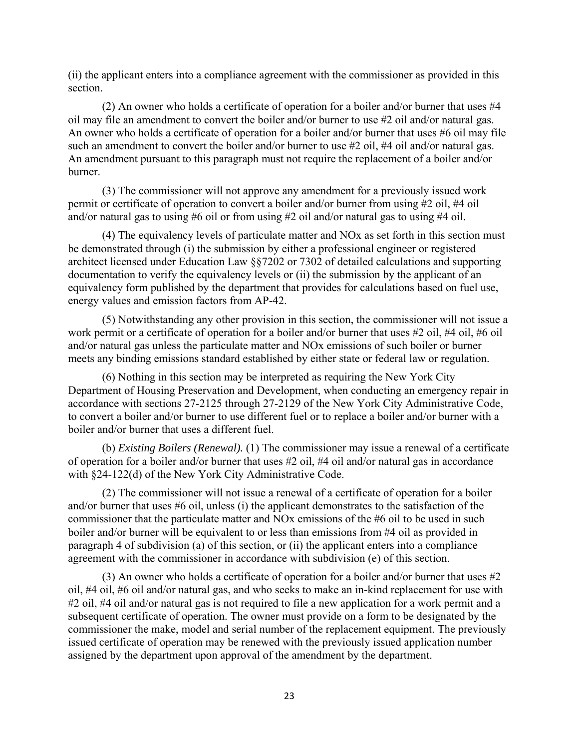(ii) the applicant enters into a compliance agreement with the commissioner as provided in this section.

(2) An owner who holds a certificate of operation for a boiler and/or burner that uses #4 oil may file an amendment to convert the boiler and/or burner to use #2 oil and/or natural gas. An owner who holds a certificate of operation for a boiler and/or burner that uses #6 oil may file such an amendment to convert the boiler and/or burner to use #2 oil, #4 oil and/or natural gas. An amendment pursuant to this paragraph must not require the replacement of a boiler and/or burner.

 (3) The commissioner will not approve any amendment for a previously issued work permit or certificate of operation to convert a boiler and/or burner from using #2 oil, #4 oil and/or natural gas to using #6 oil or from using #2 oil and/or natural gas to using #4 oil.

(4) The equivalency levels of particulate matter and NOx as set forth in this section must be demonstrated through (i) the submission by either a professional engineer or registered architect licensed under Education Law §§7202 or 7302 of detailed calculations and supporting documentation to verify the equivalency levels or (ii) the submission by the applicant of an equivalency form published by the department that provides for calculations based on fuel use, energy values and emission factors from AP-42.

(5) Notwithstanding any other provision in this section, the commissioner will not issue a work permit or a certificate of operation for a boiler and/or burner that uses #2 oil, #4 oil, #6 oil and/or natural gas unless the particulate matter and NOx emissions of such boiler or burner meets any binding emissions standard established by either state or federal law or regulation.

 (6) Nothing in this section may be interpreted as requiring the New York City Department of Housing Preservation and Development, when conducting an emergency repair in accordance with sections 27-2125 through 27-2129 of the New York City Administrative Code, to convert a boiler and/or burner to use different fuel or to replace a boiler and/or burner with a boiler and/or burner that uses a different fuel.

 (b) *Existing Boilers (Renewal).* (1) The commissioner may issue a renewal of a certificate of operation for a boiler and/or burner that uses #2 oil, #4 oil and/or natural gas in accordance with §24-122(d) of the New York City Administrative Code.

 (2) The commissioner will not issue a renewal of a certificate of operation for a boiler and/or burner that uses #6 oil, unless (i) the applicant demonstrates to the satisfaction of the commissioner that the particulate matter and NOx emissions of the #6 oil to be used in such boiler and/or burner will be equivalent to or less than emissions from #4 oil as provided in paragraph 4 of subdivision (a) of this section, or (ii) the applicant enters into a compliance agreement with the commissioner in accordance with subdivision (e) of this section.

 (3) An owner who holds a certificate of operation for a boiler and/or burner that uses #2 oil, #4 oil, #6 oil and/or natural gas, and who seeks to make an in-kind replacement for use with #2 oil, #4 oil and/or natural gas is not required to file a new application for a work permit and a subsequent certificate of operation. The owner must provide on a form to be designated by the commissioner the make, model and serial number of the replacement equipment. The previously issued certificate of operation may be renewed with the previously issued application number assigned by the department upon approval of the amendment by the department.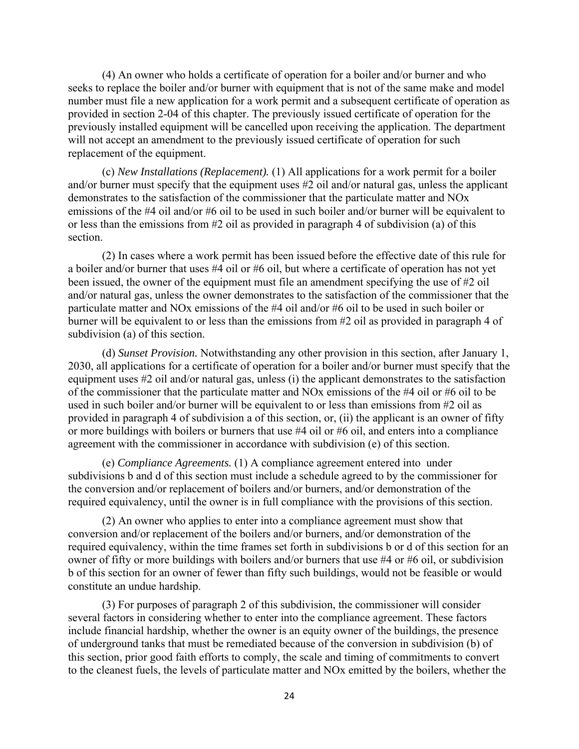(4) An owner who holds a certificate of operation for a boiler and/or burner and who seeks to replace the boiler and/or burner with equipment that is not of the same make and model number must file a new application for a work permit and a subsequent certificate of operation as provided in section 2-04 of this chapter. The previously issued certificate of operation for the previously installed equipment will be cancelled upon receiving the application. The department will not accept an amendment to the previously issued certificate of operation for such replacement of the equipment.

 (c) *New Installations (Replacement).* (1) All applications for a work permit for a boiler and/or burner must specify that the equipment uses #2 oil and/or natural gas, unless the applicant demonstrates to the satisfaction of the commissioner that the particulate matter and NOx emissions of the #4 oil and/or #6 oil to be used in such boiler and/or burner will be equivalent to or less than the emissions from #2 oil as provided in paragraph 4 of subdivision (a) of this section.

 (2) In cases where a work permit has been issued before the effective date of this rule for a boiler and/or burner that uses #4 oil or #6 oil, but where a certificate of operation has not yet been issued, the owner of the equipment must file an amendment specifying the use of #2 oil and/or natural gas, unless the owner demonstrates to the satisfaction of the commissioner that the particulate matter and NOx emissions of the #4 oil and/or #6 oil to be used in such boiler or burner will be equivalent to or less than the emissions from #2 oil as provided in paragraph 4 of subdivision (a) of this section.

 (d) *Sunset Provision.* Notwithstanding any other provision in this section, after January 1, 2030, all applications for a certificate of operation for a boiler and/or burner must specify that the equipment uses #2 oil and/or natural gas, unless (i) the applicant demonstrates to the satisfaction of the commissioner that the particulate matter and NOx emissions of the #4 oil or #6 oil to be used in such boiler and/or burner will be equivalent to or less than emissions from #2 oil as provided in paragraph 4 of subdivision a of this section, or, (ii) the applicant is an owner of fifty or more buildings with boilers or burners that use #4 oil or #6 oil, and enters into a compliance agreement with the commissioner in accordance with subdivision (e) of this section.

 (e) *Compliance Agreements.* (1) A compliance agreement entered into under subdivisions b and d of this section must include a schedule agreed to by the commissioner for the conversion and/or replacement of boilers and/or burners, and/or demonstration of the required equivalency, until the owner is in full compliance with the provisions of this section.

 (2) An owner who applies to enter into a compliance agreement must show that conversion and/or replacement of the boilers and/or burners, and/or demonstration of the required equivalency, within the time frames set forth in subdivisions b or d of this section for an owner of fifty or more buildings with boilers and/or burners that use #4 or #6 oil, or subdivision b of this section for an owner of fewer than fifty such buildings, would not be feasible or would constitute an undue hardship.

 (3) For purposes of paragraph 2 of this subdivision, the commissioner will consider several factors in considering whether to enter into the compliance agreement. These factors include financial hardship, whether the owner is an equity owner of the buildings, the presence of underground tanks that must be remediated because of the conversion in subdivision (b) of this section, prior good faith efforts to comply, the scale and timing of commitments to convert to the cleanest fuels, the levels of particulate matter and NOx emitted by the boilers, whether the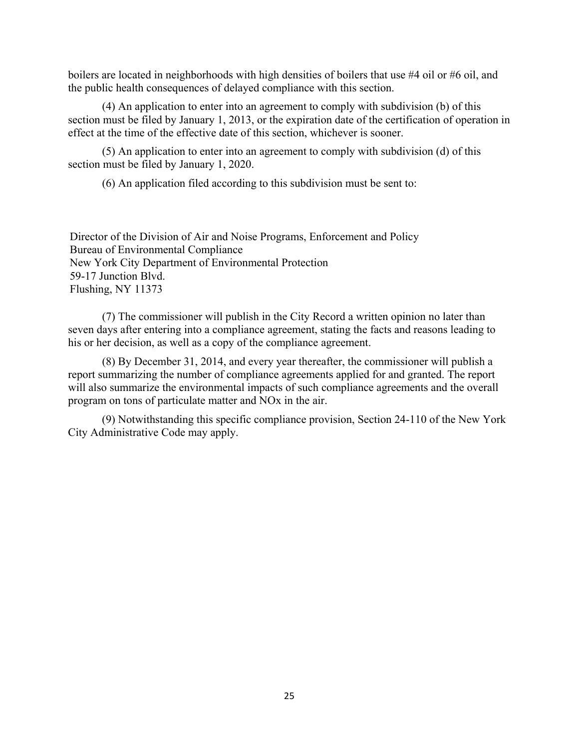boilers are located in neighborhoods with high densities of boilers that use #4 oil or #6 oil, and the public health consequences of delayed compliance with this section.

 (4) An application to enter into an agreement to comply with subdivision (b) of this section must be filed by January 1, 2013, or the expiration date of the certification of operation in effect at the time of the effective date of this section, whichever is sooner.

 (5) An application to enter into an agreement to comply with subdivision (d) of this section must be filed by January 1, 2020.

(6) An application filed according to this subdivision must be sent to:

Director of the Division of Air and Noise Programs, Enforcement and Policy Bureau of Environmental Compliance New York City Department of Environmental Protection 59-17 Junction Blvd. Flushing, NY 11373

 (7) The commissioner will publish in the City Record a written opinion no later than seven days after entering into a compliance agreement, stating the facts and reasons leading to his or her decision, as well as a copy of the compliance agreement.

 (8) By December 31, 2014, and every year thereafter, the commissioner will publish a report summarizing the number of compliance agreements applied for and granted. The report will also summarize the environmental impacts of such compliance agreements and the overall program on tons of particulate matter and NOx in the air.

 (9) Notwithstanding this specific compliance provision, Section 24-110 of the New York City Administrative Code may apply.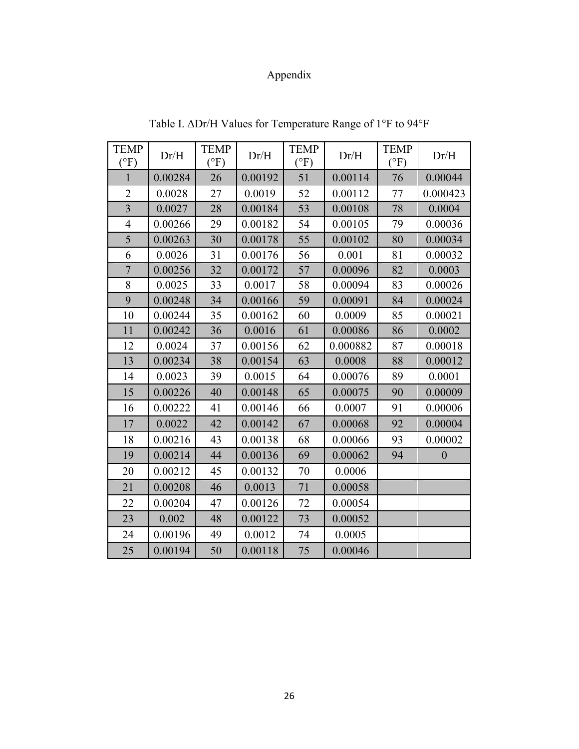# Appendix

| <b>TEMP</b><br>$\rm ^{\circ F})$ | Dr/H    | <b>TEMP</b><br>$\rm ^{(o}F)$ | Dr/H    | <b>TEMP</b><br>(°F) | Dr/H     | <b>TEMP</b><br>$\rm (^\circ F)$ | Dr/H             |
|----------------------------------|---------|------------------------------|---------|---------------------|----------|---------------------------------|------------------|
| $\mathbf{1}$                     | 0.00284 | 26                           | 0.00192 | 51                  | 0.00114  | 76                              | 0.00044          |
| $\overline{2}$                   | 0.0028  | 27                           | 0.0019  | 52                  | 0.00112  | 77                              | 0.000423         |
| 3                                | 0.0027  | 28                           | 0.00184 | 53                  | 0.00108  | 78                              | 0.0004           |
| $\overline{4}$                   | 0.00266 | 29                           | 0.00182 | 54                  | 0.00105  | 79                              | 0.00036          |
| 5                                | 0.00263 | 30                           | 0.00178 | 55                  | 0.00102  | 80                              | 0.00034          |
| 6                                | 0.0026  | 31                           | 0.00176 | 56                  | 0.001    | 81                              | 0.00032          |
| $\overline{7}$                   | 0.00256 | 32                           | 0.00172 | 57                  | 0.00096  | 82                              | 0.0003           |
| 8                                | 0.0025  | 33                           | 0.0017  | 58                  | 0.00094  | 83                              | 0.00026          |
| 9                                | 0.00248 | 34                           | 0.00166 | 59                  | 0.00091  | 84                              | 0.00024          |
| 10                               | 0.00244 | 35                           | 0.00162 | 60                  | 0.0009   | 85                              | 0.00021          |
| 11                               | 0.00242 | 36                           | 0.0016  | 61                  | 0.00086  | 86                              | 0.0002           |
| 12                               | 0.0024  | 37                           | 0.00156 | 62                  | 0.000882 | 87                              | 0.00018          |
| 13                               | 0.00234 | 38                           | 0.00154 | 63                  | 0.0008   | 88                              | 0.00012          |
| 14                               | 0.0023  | 39                           | 0.0015  | 64                  | 0.00076  | 89                              | 0.0001           |
| 15                               | 0.00226 | 40                           | 0.00148 | 65                  | 0.00075  | 90                              | 0.00009          |
| 16                               | 0.00222 | 41                           | 0.00146 | 66                  | 0.0007   | 91                              | 0.00006          |
| 17                               | 0.0022  | 42                           | 0.00142 | 67                  | 0.00068  | 92                              | 0.00004          |
| 18                               | 0.00216 | 43                           | 0.00138 | 68                  | 0.00066  | 93                              | 0.00002          |
| 19                               | 0.00214 | 44                           | 0.00136 | 69                  | 0.00062  | 94                              | $\boldsymbol{0}$ |
| 20                               | 0.00212 | 45                           | 0.00132 | 70                  | 0.0006   |                                 |                  |
| 21                               | 0.00208 | 46                           | 0.0013  | 71                  | 0.00058  |                                 |                  |
| 22                               | 0.00204 | 47                           | 0.00126 | 72                  | 0.00054  |                                 |                  |
| 23                               | 0.002   | 48                           | 0.00122 | 73                  | 0.00052  |                                 |                  |
| 24                               | 0.00196 | 49                           | 0.0012  | 74                  | 0.0005   |                                 |                  |
| 25                               | 0.00194 | 50                           | 0.00118 | 75                  | 0.00046  |                                 |                  |

Table I. ΔDr/H Values for Temperature Range of 1°F to 94°F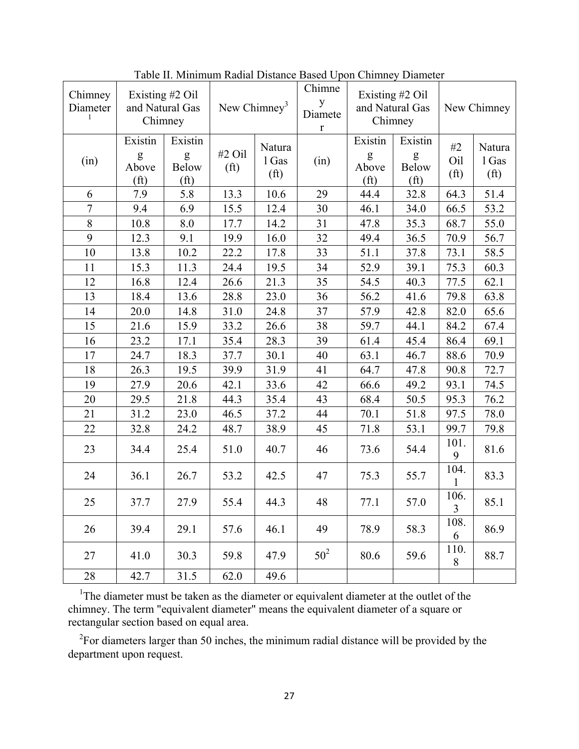| Chimney<br>Diameter<br>1 | Existing #2 Oil<br>and Natural Gas<br>Chimney |                                                   | New Chimney <sup>3</sup>    |                                      | Chimne<br>y<br>Diamete<br>$\mathbf r$ | Existing #2 Oil<br>and Natural Gas<br>Chimney |                                                   | New Chimney                    |                                      |
|--------------------------|-----------------------------------------------|---------------------------------------------------|-----------------------------|--------------------------------------|---------------------------------------|-----------------------------------------------|---------------------------------------------------|--------------------------------|--------------------------------------|
| (in)                     | Existin<br>g<br>Above<br>(f <sup>t</sup> )    | Existin<br>g<br><b>Below</b><br>(f <sup>t</sup> ) | #2 Oil<br>(f <sup>t</sup> ) | Natura<br>1 Gas<br>(f <sup>t</sup> ) | (in)                                  | Existin<br>g<br>Above<br>(f <sup>t</sup> )    | Existin<br>g<br><b>Below</b><br>(f <sup>t</sup> ) | #2<br>Oil<br>(f <sup>t</sup> ) | Natura<br>1 Gas<br>(f <sup>t</sup> ) |
| 6                        | 7.9                                           | 5.8                                               | 13.3                        | 10.6                                 | 29                                    | 44.4                                          | 32.8                                              | 64.3                           | 51.4                                 |
| $\overline{7}$           | 9.4                                           | 6.9                                               | 15.5                        | 12.4                                 | 30                                    | 46.1                                          | 34.0                                              | 66.5                           | 53.2                                 |
| 8                        | 10.8                                          | 8.0                                               | 17.7                        | 14.2                                 | 31                                    | 47.8                                          | 35.3                                              | 68.7                           | 55.0                                 |
| 9                        | 12.3                                          | 9.1                                               | 19.9                        | 16.0                                 | 32                                    | 49.4                                          | 36.5                                              | 70.9                           | 56.7                                 |
| 10                       | 13.8                                          | 10.2                                              | 22.2                        | 17.8                                 | 33                                    | 51.1                                          | 37.8                                              | 73.1                           | 58.5                                 |
| 11                       | 15.3                                          | 11.3                                              | 24.4                        | 19.5                                 | 34                                    | 52.9                                          | 39.1                                              | 75.3                           | 60.3                                 |
| 12                       | 16.8                                          | 12.4                                              | 26.6                        | 21.3                                 | 35                                    | 54.5                                          | 40.3                                              | 77.5                           | 62.1                                 |
| 13                       | 18.4                                          | 13.6                                              | 28.8                        | 23.0                                 | 36                                    | 56.2                                          | 41.6                                              | 79.8                           | 63.8                                 |
| 14                       | 20.0                                          | 14.8                                              | 31.0                        | 24.8                                 | 37                                    | 57.9                                          | 42.8                                              | 82.0                           | 65.6                                 |
| 15                       | 21.6                                          | 15.9                                              | 33.2                        | 26.6                                 | 38                                    | 59.7                                          | 44.1                                              | 84.2                           | 67.4                                 |
| 16                       | 23.2                                          | 17.1                                              | 35.4                        | 28.3                                 | 39                                    | 61.4                                          | 45.4                                              | 86.4                           | 69.1                                 |
| 17                       | 24.7                                          | 18.3                                              | 37.7                        | 30.1                                 | 40                                    | 63.1                                          | 46.7                                              | 88.6                           | 70.9                                 |
| 18                       | 26.3                                          | 19.5                                              | 39.9                        | 31.9                                 | 41                                    | 64.7                                          | 47.8                                              | 90.8                           | 72.7                                 |
| 19                       | 27.9                                          | 20.6                                              | 42.1                        | 33.6                                 | 42                                    | 66.6                                          | 49.2                                              | 93.1                           | 74.5                                 |
| 20                       | 29.5                                          | 21.8                                              | 44.3                        | 35.4                                 | 43                                    | 68.4                                          | 50.5                                              | 95.3                           | 76.2                                 |
| 21                       | 31.2                                          | 23.0                                              | 46.5                        | 37.2                                 | 44                                    | 70.1                                          | 51.8                                              | 97.5                           | 78.0                                 |
| 22                       | 32.8                                          | 24.2                                              | 48.7                        | 38.9                                 | 45                                    | 71.8                                          | 53.1                                              | 99.7                           | 79.8                                 |
| 23                       | 34.4                                          | 25.4                                              | 51.0                        | 40.7                                 | 46                                    | 73.6                                          | 54.4                                              | 101.<br>9                      | 81.6                                 |
| 24                       | 36.1                                          | 26.7                                              | 53.2                        | 42.5                                 | 47                                    | 75.3                                          | 55.7                                              | 104.                           | 83.3                                 |
| 25                       | 37.7                                          | 27.9                                              | 55.4                        | 44.3                                 | 48                                    | 77.1                                          | 57.0                                              | 106.<br>3                      | 85.1                                 |
| 26                       | 39.4                                          | 29.1                                              | 57.6                        | 46.1                                 | 49                                    | 78.9                                          | 58.3                                              | 108.<br>6                      | 86.9                                 |
| 27                       | 41.0                                          | 30.3                                              | 59.8                        | 47.9                                 | 50 <sup>2</sup>                       | 80.6                                          | 59.6                                              | 110.<br>$\,8\,$                | 88.7                                 |
| 28                       | 42.7                                          | 31.5                                              | 62.0                        | 49.6                                 |                                       |                                               |                                                   |                                |                                      |

Table II. Minimum Radial Distance Based Upon Chimney Diameter

<sup>1</sup>The diameter must be taken as the diameter or equivalent diameter at the outlet of the chimney. The term "equivalent diameter" means the equivalent diameter of a square or rectangular section based on equal area.

<sup>2</sup>For diameters larger than 50 inches, the minimum radial distance will be provided by the department upon request.